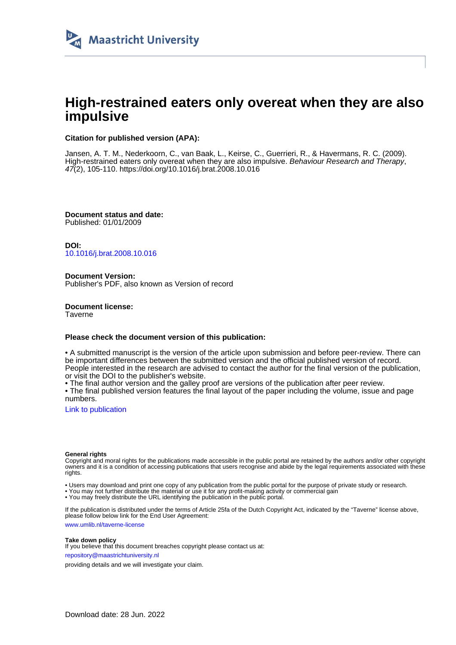

# **High-restrained eaters only overeat when they are also impulsive**

## **Citation for published version (APA):**

Jansen, A. T. M., Nederkoorn, C., van Baak, L., Keirse, C., Guerrieri, R., & Havermans, R. C. (2009). High-restrained eaters only overeat when they are also impulsive. Behaviour Research and Therapy, 47(2), 105-110.<https://doi.org/10.1016/j.brat.2008.10.016>

**Document status and date:** Published: 01/01/2009

**DOI:** [10.1016/j.brat.2008.10.016](https://doi.org/10.1016/j.brat.2008.10.016)

**Document Version:** Publisher's PDF, also known as Version of record

**Document license: Taverne** 

## **Please check the document version of this publication:**

• A submitted manuscript is the version of the article upon submission and before peer-review. There can be important differences between the submitted version and the official published version of record. People interested in the research are advised to contact the author for the final version of the publication, or visit the DOI to the publisher's website.

• The final author version and the galley proof are versions of the publication after peer review.

• The final published version features the final layout of the paper including the volume, issue and page numbers.

[Link to publication](https://cris.maastrichtuniversity.nl/en/publications/dec775e6-c8ae-4ae1-b3d7-325b94aef21c)

## **General rights**

Copyright and moral rights for the publications made accessible in the public portal are retained by the authors and/or other copyright owners and it is a condition of accessing publications that users recognise and abide by the legal requirements associated with these rights.

• Users may download and print one copy of any publication from the public portal for the purpose of private study or research.

• You may not further distribute the material or use it for any profit-making activity or commercial gain

• You may freely distribute the URL identifying the publication in the public portal.

If the publication is distributed under the terms of Article 25fa of the Dutch Copyright Act, indicated by the "Taverne" license above, please follow below link for the End User Agreement:

www.umlib.nl/taverne-license

## **Take down policy**

If you believe that this document breaches copyright please contact us at: repository@maastrichtuniversity.nl

providing details and we will investigate your claim.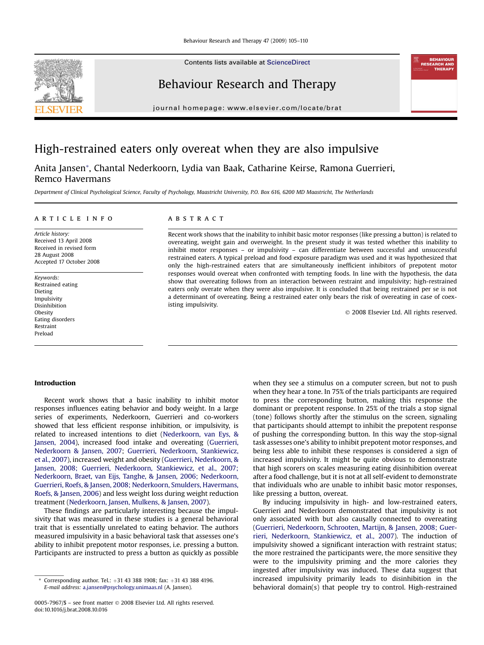

Contents lists available at [ScienceDirect](www.sciencedirect.com/science/journal/00057967)

# Behaviour Research and Therapy

journal homepage: [www.elsevier.com/locate/brat](http://www.elsevier.com/locate/brat)

# High-restrained eaters only overeat when they are also impulsive

Anita Jansen\*, Chantal Nederkoorn, Lydia van Baak, Catharine Keirse, Ramona Guerrieri, Remco Havermans

Department of Clinical Psychological Science, Faculty of Psychology, Maastricht University, P.O. Box 616, 6200 MD Maastricht, The Netherlands

#### article info

Article history: Received 13 April 2008 Received in revised form 28 August 2008 Accepted 17 October 2008

Keywords: Restrained eating Dieting Impulsivity Disinhibition **Obesity** Eating disorders Restraint Preload

## ABSTRACT

Recent work shows that the inability to inhibit basic motor responses (like pressing a button) is related to overeating, weight gain and overweight. In the present study it was tested whether this inability to inhibit motor responses – or impulsivity – can differentiate between successful and unsuccessful restrained eaters. A typical preload and food exposure paradigm was used and it was hypothesized that only the high-restrained eaters that are simultaneously inefficient inhibitors of prepotent motor responses would overeat when confronted with tempting foods. In line with the hypothesis, the data show that overeating follows from an interaction between restraint and impulsivity; high-restrained eaters only overate when they were also impulsive. It is concluded that being restrained per se is not a determinant of overeating. Being a restrained eater only bears the risk of overeating in case of coexisting impulsivity.

- 2008 Elsevier Ltd. All rights reserved.

## Introduction

Recent work shows that a basic inability to inhibit motor responses influences eating behavior and body weight. In a large series of experiments, Nederkoorn, Guerrieri and co-workers showed that less efficient response inhibition, or impulsivity, is related to increased intentions to diet ([Nederkoorn, van Eys, &](#page-5-0) [Jansen, 2004\)](#page-5-0), increased food intake and overeating ([Guerrieri,](#page-5-0) [Nederkoorn & Jansen, 2007](#page-5-0); [Guerrieri, Nederkoorn, Stankiewicz,](#page-5-0) [et al., 2007\)](#page-5-0), increased weight and obesity [\(Guerrieri, Nederkoorn, &](#page-5-0) [Jansen, 2008; Guerrieri, Nederkoorn, Stankiewicz, et al., 2007;](#page-5-0) [Nederkoorn, Braet, van Eijs, Tanghe, & Jansen, 2006; Nederkoorn,](#page-5-0) [Guerrieri, Roefs, & Jansen, 2008; Nederkoorn, Smulders, Havermans,](#page-5-0) [Roefs, & Jansen, 2006](#page-5-0)) and less weight loss during weight reduction treatment [\(Nederkoorn, Jansen, Mulkens, & Jansen, 2007](#page-5-0)).

These findings are particularly interesting because the impulsivity that was measured in these studies is a general behavioral trait that is essentially unrelated to eating behavior. The authors measured impulsivity in a basic behavioral task that assesses one's ability to inhibit prepotent motor responses, i.e. pressing a button. Participants are instructed to press a button as quickly as possible

when they see a stimulus on a computer screen, but not to push when they hear a tone. In 75% of the trials participants are required to press the corresponding button, making this response the dominant or prepotent response. In 25% of the trials a stop signal (tone) follows shortly after the stimulus on the screen, signaling that participants should attempt to inhibit the prepotent response of pushing the corresponding button. In this way the stop-signal task assesses one's ability to inhibit prepotent motor responses, and being less able to inhibit these responses is considered a sign of increased impulsivity. It might be quite obvious to demonstrate that high scorers on scales measuring eating disinhibition overeat after a food challenge, but it is not at all self-evident to demonstrate that individuals who are unable to inhibit basic motor responses, like pressing a button, overeat.

By inducing impulsivity in high- and low-restrained eaters, Guerrieri and Nederkoorn demonstrated that impulsivity is not only associated with but also causally connected to overeating ([Guerrieri, Nederkoorn, Schrooten, Martijn, & Jansen, 2008; Guer](#page-5-0)[rieri, Nederkoorn, Stankiewicz, et al., 2007](#page-5-0)). The induction of impulsivity showed a significant interaction with restraint status; the more restrained the participants were, the more sensitive they were to the impulsivity priming and the more calories they ingested after impulsivity was induced. These data suggest that increased impulsivity primarily leads to disinhibition in the behavioral domain(s) that people try to control. High-restrained

<sup>\*</sup> Corresponding author. Tel.:  $+31$  43 388 1908; fax:  $+31$  43 388 4196. E-mail address: [a.jansen@psychology.unimaas.nl](mailto:a.jansen@psychology.unimaas.nl) (A. Jansen).

<sup>0005-7967/\$ –</sup> see front matter © 2008 Elsevier Ltd. All rights reserved. doi:10.1016/j.brat.2008.10.016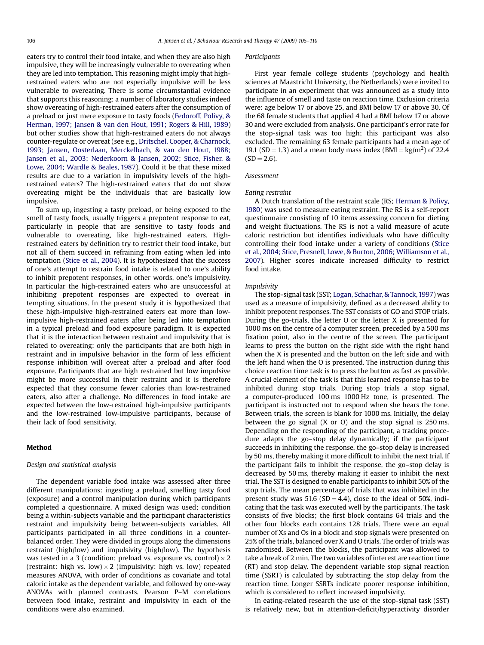eaters try to control their food intake, and when they are also high impulsive, they will be increasingly vulnerable to overeating when they are led into temptation. This reasoning might imply that highrestrained eaters who are not especially impulsive will be less vulnerable to overeating. There is some circumstantial evidence that supports this reasoning; a number of laboratory studies indeed show overeating of high-restrained eaters after the consumption of a preload or just mere exposure to tasty foods [\(Fedoroff, Polivy, &](#page-5-0) [Herman, 1997; Jansen & van den Hout, 1991; Rogers & Hill, 1989\)](#page-5-0) but other studies show that high-restrained eaters do not always counter-regulate or overeat (see e.g., [Dritschel, Cooper, & Charnock,](#page-5-0) [1993; Jansen, Oosterlaan, Merckelbach, & van den Hout, 1988;](#page-5-0) [Jansen et al., 2003; Nederkoorn & Jansen, 2002; Stice, Fisher, &](#page-5-0) [Lowe, 2004; Wardle & Beales, 1987](#page-5-0)). Could it be that these mixed results are due to a variation in impulsivity levels of the highrestrained eaters? The high-restrained eaters that do not show overeating might be the individuals that are basically low impulsive.

To sum up, ingesting a tasty preload, or being exposed to the smell of tasty foods, usually triggers a prepotent response to eat, particularly in people that are sensitive to tasty foods and vulnerable to overeating, like high-restrained eaters. Highrestrained eaters by definition try to restrict their food intake, but not all of them succeed in refraining from eating when led into temptation ([Stice et al., 2004](#page-5-0)). It is hypothesized that the success of one's attempt to restrain food intake is related to one's ability to inhibit prepotent responses, in other words, one's impulsivity. In particular the high-restrained eaters who are unsuccessful at inhibiting prepotent responses are expected to overeat in tempting situations. In the present study it is hypothesized that these high-impulsive high-restrained eaters eat more than lowimpulsive high-restrained eaters after being led into temptation in a typical preload and food exposure paradigm. It is expected that it is the interaction between restraint and impulsivity that is related to overeating: only the participants that are both high in restraint and in impulsive behavior in the form of less efficient response inhibition will overeat after a preload and after food exposure. Participants that are high restrained but low impulsive might be more successful in their restraint and it is therefore expected that they consume fewer calories than low-restrained eaters, also after a challenge. No differences in food intake are expected between the low-restrained high-impulsive participants and the low-restrained low-impulsive participants, because of their lack of food sensitivity.

## Method

#### Design and statistical analysis

The dependent variable food intake was assessed after three different manipulations: ingesting a preload, smelling tasty food (exposure) and a control manipulation during which participants completed a questionnaire. A mixed design was used; condition being a within-subjects variable and the participant characteristics restraint and impulsivity being between-subjects variables. All participants participated in all three conditions in a counterbalanced order. They were divided in groups along the dimensions restraint (high/low) and impulsivity (high/low). The hypothesis was tested in a 3 (condition: preload vs. exposure vs. control)  $\times$  2 (restraint: high vs. low)  $\times$  2 (impulsivity: high vs. low) repeated measures ANOVA, with order of conditions as covariate and total caloric intake as the dependent variable, and followed by one-way ANOVAs with planned contrasts. Pearson P–M correlations between food intake, restraint and impulsivity in each of the conditions were also examined.

#### Participants

First year female college students (psychology and health sciences at Maastricht University, the Netherlands) were invited to participate in an experiment that was announced as a study into the influence of smell and taste on reaction time. Exclusion criteria were: age below 17 or above 25, and BMI below 17 or above 30. Of the 68 female students that applied 4 had a BMI below 17 or above 30 and were excluded from analysis. One participant's error rate for the stop-signal task was too high; this participant was also excluded. The remaining 63 female participants had a mean age of 19.1 (SD = 1.3) and a mean body mass index (BMI =  $\text{kg/m}^2$ ) of 22.4  $(SD = 2.6)$ .

#### Assessment

#### Eating restraint

A Dutch translation of the restraint scale (RS; [Herman & Polivy,](#page-5-0) [1980](#page-5-0)) was used to measure eating restraint. The RS is a self-report questionnaire consisting of 10 items assessing concern for dieting and weight fluctuations. The RS is not a valid measure of acute caloric restriction but identifies individuals who have difficulty controlling their food intake under a variety of conditions [\(Stice](#page-5-0) [et al., 2004; Stice, Presnell, Lowe, & Burton, 2006; Williamson et al.,](#page-5-0) [2007\)](#page-5-0). Higher scores indicate increased difficulty to restrict food intake.

#### Impulsivity

The stop-signal task (SST; [Logan, Schachar, & Tannock, 1997](#page-5-0)) was used as a measure of impulsivity, defined as a decreased ability to inhibit prepotent responses. The SST consists of GO and STOP trials. During the go-trials, the letter O or the letter X is presented for 1000 ms on the centre of a computer screen, preceded by a 500 ms fixation point, also in the centre of the screen. The participant learns to press the button on the right side with the right hand when the X is presented and the button on the left side and with the left hand when the O is presented. The instruction during this choice reaction time task is to press the button as fast as possible. A crucial element of the task is that this learned response has to be inhibited during stop trials. During stop trials a stop signal, a computer-produced 100 ms 1000 Hz tone, is presented. The participant is instructed not to respond when she hears the tone. Between trials, the screen is blank for 1000 ms. Initially, the delay between the go signal (X or O) and the stop signal is 250 ms. Depending on the responding of the participant, a tracking procedure adapts the go–stop delay dynamically; if the participant succeeds in inhibiting the response, the go–stop delay is increased by 50 ms, thereby making it more difficult to inhibit the next trial. If the participant fails to inhibit the response, the go–stop delay is decreased by 50 ms, thereby making it easier to inhibit the next trial. The SST is designed to enable participants to inhibit 50% of the stop trials. The mean percentage of trials that was inhibited in the present study was  $51.6$  (SD = 4.4), close to the ideal of 50%, indicating that the task was executed well by the participants. The task consists of five blocks; the first block contains 64 trials and the other four blocks each contains 128 trials. There were an equal number of Xs and Os in a block and stop signals were presented on 25% of the trials, balanced over X and O trials. The order of trials was randomised. Between the blocks, the participant was allowed to take a break of 2 min. The two variables of interest are reaction time (RT) and stop delay. The dependent variable stop signal reaction time (SSRT) is calculated by subtracting the stop delay from the reaction time. Longer SSRTs indicate poorer response inhibition, which is considered to reflect increased impulsivity.

In eating-related research the use of the stop-signal task (SST) is relatively new, but in attention-deficit/hyperactivity disorder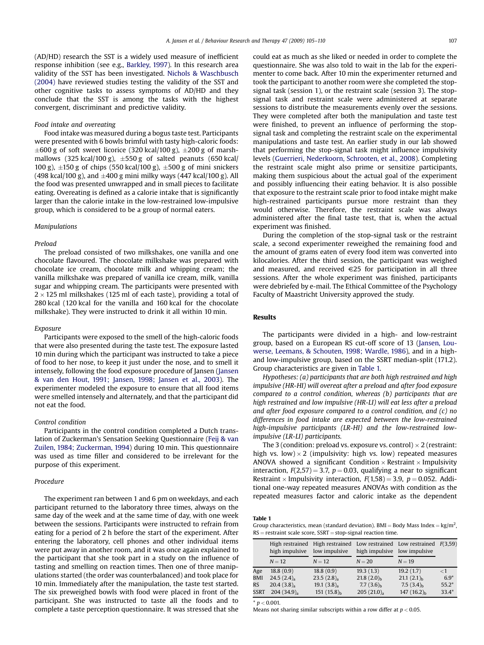(AD/HD) research the SST is a widely used measure of inefficient response inhibition (see e.g., [Barkley, 1997](#page-5-0)). In this research area validity of the SST has been investigated. [Nichols & Waschbusch](#page-5-0) [\(2004\)](#page-5-0) have reviewed studies testing the validity of the SST and other cognitive tasks to assess symptoms of AD/HD and they conclude that the SST is among the tasks with the highest convergent, discriminant and predictive validity.

#### Food intake and overeating

Food intake was measured during a bogus taste test. Participants were presented with 6 bowls brimful with tasty high-caloric foods:  $\pm 600$  g of soft sweet licorice (320 kcal/100 g),  $\pm 200$  g of marshmallows (325 kcal/100 g),  $\pm$ 550 g of salted peanuts (650 kcal/ 100 g),  $\pm$ 150 g of chips (550 kcal/100 g),  $\pm$ 500 g of mini snickers (498 kcal/100 g), and  $\pm$ 400 g mini milky ways (447 kcal/100 g). All the food was presented unwrapped and in small pieces to facilitate eating. Overeating is defined as a calorie intake that is significantly larger than the calorie intake in the low-restrained low-impulsive group, which is considered to be a group of normal eaters.

#### Manipulations

#### Preload

The preload consisted of two milkshakes, one vanilla and one chocolate flavoured. The chocolate milkshake was prepared with chocolate ice cream, chocolate milk and whipping cream; the vanilla milkshake was prepared of vanilla ice cream, milk, vanilla sugar and whipping cream. The participants were presented with  $2\times$  125 ml milkshakes (125 ml of each taste), providing a total of 280 kcal (120 kcal for the vanilla and 160 kcal for the chocolate milkshake). They were instructed to drink it all within 10 min.

### Exposure

Participants were exposed to the smell of the high-caloric foods that were also presented during the taste test. The exposure lasted 10 min during which the participant was instructed to take a piece of food to her nose, to keep it just under the nose, and to smell it intensely, following the food exposure procedure of Jansen ([Jansen](#page-5-0) [& van den Hout, 1991; Jansen, 1998; Jansen et al., 2003](#page-5-0)). The experimenter modeled the exposure to ensure that all food items were smelled intensely and alternately, and that the participant did not eat the food.

#### Control condition

Participants in the control condition completed a Dutch translation of Zuckerman's Sensation Seeking Questionnaire [\(Feij & van](#page-5-0) [Zuilen, 1984; Zuckerman, 1994](#page-5-0)) during 10 min. This questionnaire was used as time filler and considered to be irrelevant for the purpose of this experiment.

### Procedure

The experiment ran between 1 and 6 pm on weekdays, and each participant returned to the laboratory three times, always on the same day of the week and at the same time of day, with one week between the sessions. Participants were instructed to refrain from eating for a period of 2 h before the start of the experiment. After entering the laboratory, cell phones and other individual items were put away in another room, and it was once again explained to the participant that she took part in a study on the influence of tasting and smelling on reaction times. Then one of three manipulations started (the order was counterbalanced) and took place for 10 min. Immediately after the manipulation, the taste test started. The six preweighed bowls with food were placed in front of the participant. She was instructed to taste all the foods and to complete a taste perception questionnaire. It was stressed that she

could eat as much as she liked or needed in order to complete the questionnaire. She was also told to wait in the lab for the experimenter to come back. After 10 min the experimenter returned and took the participant to another room were she completed the stopsignal task (session 1), or the restraint scale (session 3). The stopsignal task and restraint scale were administered at separate sessions to distribute the measurements evenly over the sessions. They were completed after both the manipulation and taste test were finished, to prevent an influence of performing the stopsignal task and completing the restraint scale on the experimental manipulations and taste test. An earlier study in our lab showed that performing the stop-signal task might influence impulsivity levels ([Guerrieri, Nederkoorn, Schrooten, et al., 2008](#page-5-0)). Completing the restraint scale might also prime or sensitize participants, making them suspicious about the actual goal of the experiment and possibly influencing their eating behavior. It is also possible that exposure to the restraint scale prior to food intake might make high-restrained participants pursue more restraint than they would otherwise. Therefore, the restraint scale was always administered after the final taste test, that is, when the actual experiment was finished.

During the completion of the stop-signal task or the restraint scale, a second experimenter reweighed the remaining food and the amount of grams eaten of every food item was converted into kilocalories. After the third session, the participant was weighed and measured, and received  $\in$ 25 for participation in all three sessions. After the whole experiment was finished, participants were debriefed by e-mail. The Ethical Committee of the Psychology Faculty of Maastricht University approved the study.

#### Results

The participants were divided in a high- and low-restraint group, based on a European RS cut-off score of 13 ([Jansen, Lou](#page-5-0)[werse, Leemans, & Schouten, 1998; Wardle, 1986\)](#page-5-0), and in a highand low-impulsive group, based on the SSRT median-split (171.2). Group characteristics are given in Table 1.

Hypotheses: (a) participants that are both high restrained and high impulsive (HR-HI) will overeat after a preload and after food exposure compared to a control condition, whereas (b) participants that are high restrained and low impulsive (HR-LI) will eat less after a preload and after food exposure compared to a control condition, and (c) no differences in food intake are expected between the low-restrained high-impulsive participants (LR-HI) and the low-restrained lowimpulsive (LR-LI) participants.

The 3 (condition: preload vs. exposure vs. control)  $\times$  2 (restraint: high vs. low) $\times 2$  (impulsivity: high vs. low) repeated measures ANOVA showed a significant Condition $\times$ Restraint $\times$ Impulsivity interaction,  $F(2,57) = 3.7$ ,  $p = 0.03$ , qualifying a near to significant Restraint  $\times$  Impulsivity interaction,  $F(1,58) = 3.9$ ,  $p = 0.052$ . Additional one-way repeated measures ANOVAs with condition as the repeated measures factor and caloric intake as the dependent

#### Table 1

Group characteristics, mean (standard deviation). BMI = Body Mass Index =  $\text{kg/m}^2$ ,  $RS =$  restraint scale score,  $SSRT =$  stop-signal reaction time.

|                         | high impulsive                     | High restrained High restrained Low restrained Low restrained $F(3,59)$<br>low impulsive | high impulsive low impulsive      |                                    |                   |
|-------------------------|------------------------------------|------------------------------------------------------------------------------------------|-----------------------------------|------------------------------------|-------------------|
|                         | $N = 12$                           | $N = 12$                                                                                 | $N = 20$                          | $N = 19$                           |                   |
| Age                     | 18.8(0.9)                          | 18.8(0.9)                                                                                | 19.3(1.3)                         | 19.2(1.7)                          | ${<}1$            |
| <b>BMI</b><br><b>RS</b> | $24.5(2.4)_{a}$<br>$20.4(3.8)_{a}$ | $23.5(2.8)_{a}$<br>19.1 $(3.8)_{a}$                                                      | $21.8(2.0)_{h}$<br>$7.7(3.6)_{h}$ | $21.1 (2.1)_{h}$<br>$7.5(3.4)_{h}$ | $6.9*$<br>$55.2*$ |
| <b>SSRT</b>             | $204(34.9)_{a}$                    | $151(15.8)_{h}$                                                                          | $205(21.0)_{a}$                   | $147(16.2)_{h}$                    | $33.4*$           |

 $*$   $p < 0.001$ .

Means not sharing similar subscripts within a row differ at  $p < 0.05$ .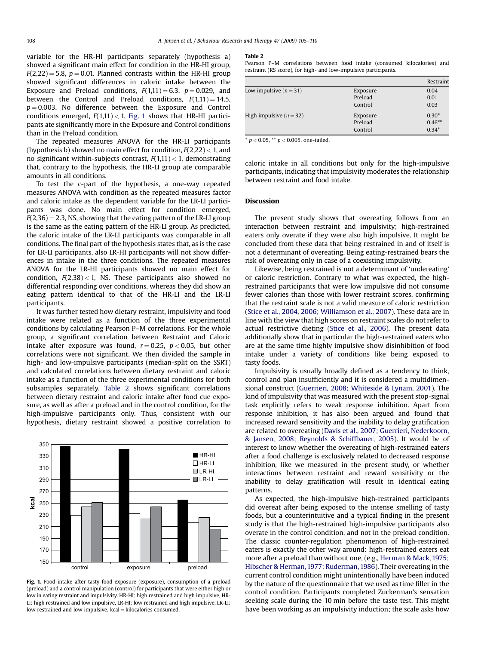variable for the HR-HI participants separately (hypothesis a) showed a significant main effect for condition in the HR-HI group,  $F(2,22) = 5.8$ ,  $p = 0.01$ . Planned contrasts within the HR-HI group showed significant differences in caloric intake between the Exposure and Preload conditions,  $F(1,11) = 6.3$ ,  $p = 0.029$ , and between the Control and Preload conditions,  $F(1,11) = 14.5$ ,  $p = 0.003$ . No difference between the Exposure and Control conditions emerged,  $F(1,11) < 1$ . Fig. 1 shows that HR-HI participants ate significantly more in the Exposure and Control conditions than in the Preload condition.

The repeated measures ANOVA for the HR-LI participants (hypothesis b) showed no main effect for condition,  $F(2,22) < 1$ , and no significant within-subjects contrast,  $F(1,11) < 1$ , demonstrating that, contrary to the hypothesis, the HR-LI group ate comparable amounts in all conditions.

To test the c-part of the hypothesis, a one-way repeated measures ANOVA with condition as the repeated measures factor and caloric intake as the dependent variable for the LR-LI participants was done. No main effect for condition emerged,  $F(2,36) = 2.3$ , NS, showing that the eating pattern of the LR-LI group is the same as the eating pattern of the HR-LI group. As predicted, the caloric intake of the LR-LI participants was comparable in all conditions. The final part of the hypothesis states that, as is the case for LR-LI participants, also LR-HI participants will not show differences in intake in the three conditions. The repeated measures ANOVA for the LR-HI participants showed no main effect for condition,  $F(2,38) < 1$ , NS. These participants also showed no differential responding over conditions, whereas they did show an eating pattern identical to that of the HR-LI and the LR-LI participants.

It was further tested how dietary restraint, impulsivity and food intake were related as a function of the three experimental conditions by calculating Pearson P–M correlations. For the whole group, a significant correlation between Restraint and Caloric intake after exposure was found,  $r = 0.25$ ,  $p < 0.05$ , but other correlations were not significant. We then divided the sample in high- and low-impulsive participants (median-split on the SSRT) and calculated correlations between dietary restraint and caloric intake as a function of the three experimental conditions for both subsamples separately. Table 2 shows significant correlations between dietary restraint and caloric intake after food cue exposure, as well as after a preload and in the control condition, for the high-impulsive participants only. Thus, consistent with our hypothesis, dietary restraint showed a positive correlation to



Fig. 1. Food intake after tasty food exposure (exposure), consumption of a preload (preload) and a control manipulation (control) for participants that were either high or low in eating restraint and impulsivity. HR-HI: high restrained and high impulsive, HR-LI: high restrained and low impulsive, LR-HI: low restrained and high impulsive, LR-LI: low restrained and low impulsive.  $kcal$  = kilocalories consumed.

#### Table 2

Pearson P–M correlations between food intake (consumed kilocalories) and restraint (RS score), for high- and low-impulsive participants.

|                           |                     | Restraint            |
|---------------------------|---------------------|----------------------|
| Low impulsive $(n=31)$    | Exposure<br>Preload | 0.04<br>0.01         |
| High impulsive $(n = 32)$ | Control<br>Exposure | 0.03<br>$0.30*$      |
|                           | Preload<br>Control  | $0.46***$<br>$0.34*$ |

 $*$   $p < 0.05$ ,  $*$   $*$   $p < 0.005$ , one-tailed.

caloric intake in all conditions but only for the high-impulsive participants, indicating that impulsivity moderates the relationship between restraint and food intake.

### Discussion

The present study shows that overeating follows from an interaction between restraint and impulsivity; high-restrained eaters only overate if they were also high impulsive. It might be concluded from these data that being restrained in and of itself is not a determinant of overeating. Being eating-restrained bears the risk of overeating only in case of a coexisting impulsivity.

Likewise, being restrained is not a determinant of 'undereating' or caloric restriction. Contrary to what was expected, the highrestrained participants that were low impulsive did not consume fewer calories than those with lower restraint scores, confirming that the restraint scale is not a valid measure of caloric restriction ([Stice et al., 2004, 2006; Williamson et al., 2007\)](#page-5-0). These data are in line with the view that high scores on restraint scales do not refer to actual restrictive dieting [\(Stice et al., 2006](#page-6-0)). The present data additionally show that in particular the high-restrained eaters who are at the same time highly impulsive show disinhibition of food intake under a variety of conditions like being exposed to tasty foods.

Impulsivity is usually broadly defined as a tendency to think, control and plan insufficiently and it is considered a multidimensional construct [\(Guerrieri, 2008; Whiteside & Lynam, 2001](#page-5-0)). The kind of impulsivity that was measured with the present stop-signal task explicitly refers to weak response inhibition. Apart from response inhibition, it has also been argued and found that increased reward sensitivity and the inability to delay gratification are related to overeating [\(Davis et al., 2007; Guerrieri, Nederkoorn,](#page-5-0) [& Jansen, 2008; Reynolds & Schiffbauer, 2005\)](#page-5-0). It would be of interest to know whether the overeating of high-restrained eaters after a food challenge is exclusively related to decreased response inhibition, like we measured in the present study, or whether interactions between restraint and reward sensitivity or the inability to delay gratification will result in identical eating patterns.

As expected, the high-impulsive high-restrained participants did overeat after being exposed to the intense smelling of tasty foods, but a counterintuitive and a typical finding in the present study is that the high-restrained high-impulsive participants also overate in the control condition, and not in the preload condition. The classic counter-regulation phenomenon of high-restrained eaters is exactly the other way around: high-restrained eaters eat more after a preload than without one, (e.g., [Herman & Mack, 1975;](#page-5-0) [Hibscher & Herman, 1977; Ruderman, 1986\)](#page-5-0). Their overeating in the current control condition might unintentionally have been induced by the nature of the questionnaire that we used as time filler in the control condition. Participants completed Zuckerman's sensation seeking scale during the 10 min before the taste test. This might have been working as an impulsivity induction; the scale asks how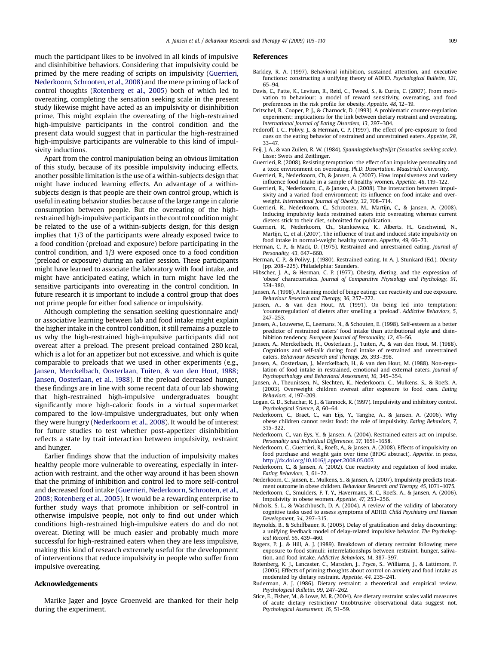<span id="page-5-0"></span>much the participant likes to be involved in all kinds of impulsive and disinhibitive behaviors. Considering that impulsivity could be primed by the mere reading of scripts on impulsivity (Guerrieri, Nederkoorn, Schrooten, et al., 2008) and the mere priming of lack of control thoughts (Rotenberg et al., 2005) both of which led to overeating, completing the sensation seeking scale in the present study likewise might have acted as an impulsivity or disinhibition prime. This might explain the overeating of the high-restrained high-impulsive participants in the control condition and the present data would suggest that in particular the high-restrained high-impulsive participants are vulnerable to this kind of impulsivity inductions.

Apart from the control manipulation being an obvious limitation of this study, because of its possible impulsivity inducing effects, another possible limitation is the use of a within-subjects design that might have induced learning effects. An advantage of a withinsubjects design is that people are their own control group, which is useful in eating behavior studies because of the large range in calorie consumption between people. But the overeating of the highrestrained high-impulsive participants in the control condition might be related to the use of a within-subjects design, for this design implies that 1/3 of the participants were already exposed twice to a food condition (preload and exposure) before participating in the control condition, and 1/3 were exposed once to a food condition (preload or exposure) during an earlier session. These participants might have learned to associate the laboratory with food intake, and might have anticipated eating, which in turn might have led the sensitive participants into overeating in the control condition. In future research it is important to include a control group that does not prime people for either food salience or impulsivity.

Although completing the sensation seeking questionnaire and/ or associative learning between lab and food intake might explain the higher intake in the control condition, it still remains a puzzle to us why the high-restrained high-impulsive participants did not overeat after a preload. The present preload contained 280 kcal, which is a lot for an appetizer but not excessive, and which is quite comparable to preloads that we used in other experiments (e.g., Jansen, Merckelbach, Oosterlaan, Tuiten, & van den Hout, 1988; Jansen, Oosterlaan, et al., 1988). If the preload decreased hunger, these findings are in line with some recent data of our lab showing that high-restrained high-impulsive undergraduates bought significantly more high-caloric foods in a virtual supermarket compared to the low-impulsive undergraduates, but only when they were hungry (Nederkoorn et al., 2008). It would be of interest for future studies to test whether post-appetizer disinhibition reflects a state by trait interaction between impulsivity, restraint and hunger.

Earlier findings show that the induction of impulsivity makes healthy people more vulnerable to overeating, especially in interaction with restraint, and the other way around it has been shown that the priming of inhibition and control led to more self-control and decreased food intake (Guerrieri, Nederkoorn, Schrooten, et al., 2008; Rotenberg et al., 2005). It would be a rewarding enterprise to further study ways that promote inhibition or self-control in otherwise impulsive people, not only to find out under which conditions high-restrained high-impulsive eaters do and do not overeat. Dieting will be much easier and probably much more successful for high-restrained eaters when they are less impulsive, making this kind of research extremely useful for the development of interventions that reduce impulsivity in people who suffer from impulsive overeating.

#### Acknowledgements

Marike Jager and Joyce Groenveld are thanked for their help during the experiment.

#### References

- Barkley, R. A. (1997). Behavioral inhibition, sustained attention, and executive functions: constructing a unifying theory of ADHD. Psychological Bulletin, 121, 65–94.
- Davis, C., Patte, K., Levitan, R., Reid, C., Tweed, S., & Curtis, C. (2007). From motivation to behaviour: a model of reward sensitivity, overeating, and food preferences in the risk profile for obesity. Appetite, 48, 12–19.
- Dritschel, B., Cooper, P. J., & Charnock, D. (1993). A problematic counter-regulation experiment: implications for the link between dietary restraint and overeating. International Journal of Eating Disorders, 13, 297–304.
- Fedoroff, I. C., Polivy, J., & Herman, C. P. (1997). The effect of pre-exposure to food cues on the eating behavior of restrained and unrestrained eaters. Appetite, 28, 33–47.
- Feij, J. A., & van Zuilen, R. W. (1984). Spanningsbehoeftelijst (Sensation seeking scale). Lisse: Swets and Zeitlinger.
- Guerrieri, R. (2008). Resisting temptation: the effect of an impulsive personality and a toxic environment on overeating. Ph.D. Dissertation, Maastricht University.
- Guerrieri, R., Nederkoorn, Ch, & Jansen, A. (2007). How impulsiveness and variety influence food intake in a sample of healthy women. Appetite, 48, 119–122.
- Guerrieri, R., Nederkoorn, C., & Jansen, A. (2008). The interaction between impulsivity and a varied food environment: its influence on food intake and overweight. International Journal of Obesity, 32, 708–714.
- Guerrieri, R., Nederkoorn, C., Schrooten, M., Martijn, C., & Jansen, A. (2008). Inducing impulsivity leads restrained eaters into overeating whereas current dieters stick to their diet, submitted for publication.
- Guerrieri, R., Nederkoorn, Ch., Stankiewicz, K., Alberts, H., Geschwind, N., Martijn, C., et al. (2007). The influence of trait and induced state impulsivity on food intake in normal-weight healthy women. Appetite, 49, 66–73.
- Herman, C. P., & Mack, D. (1975). Restrained and unrestrained eating. Journal of Personality, 43, 647–660.
- Herman, C. P., & Polivy, J. (1980). Restrained eating. In A. J. Stunkard (Ed.), Obesity (pp. 208–225). Philadelphia: Saunders.
- Hibscher, J. A., & Herman, C. P. (1977). Obesity, dieting, and the expression of 'obese' characteristics. Journal of Comparative Physiology and Psychology, 91, 374–380.
- Jansen, A. (1998). A learning model of binge eating: cue reactivity and cue exposure. Behaviour Research and Therapy, 36, 257–272.
- Jansen, A., & van den Hout, M. (1991). On being led into temptation: 'counterregulation' of dieters after smelling a 'preload'. Addictive Behaviors, 5, 247–253.
- Jansen, A., Louwerse, E., Leemans, N., & Schouten, E. (1998). Self-esteem as a better predictor of restrained eaters' food intake than attributional style and disinhibition tendency. European Journal of Personality, 12, 43–56.
- Jansen, A., Merckelbach, H., Oosterlaan, J., Tuiten, A., & van den Hout, M. (1988). Cognitions and self-talk during food intake of restrained and unrestrained eaters. Behaviour Research and Therapy, 26, 393–398.
- Jansen, A., Oosterlaan, J., Merckelbach, H., & van den Hout, M. (1988). Non-regulation of food intake in restrained, emotional and external eaters. Journal of Psychopathology and Behavioral Assessment, 10, 345–354.
- Jansen, A., Theunissen, N., Slechten, K., Nederkoorn, C., Mulkens, S., & Roefs, A. (2003). Overweight children overeat after exposure to food cues. Eating Behaviors, 4, 197–209.
- Logan, G. D., Schachar, R. J., & Tannock, R. (1997). Impulsivity and inhibitory control. Psychological Science, 8, 60–64.
- Nederkoorn, C., Braet, C., van Eijs, Y., Tanghe, A., & Jansen, A. (2006). Why obese children cannot resist food: the role of impulsivity. Eating Behaviors, 7, 315–322.
- Nederkoorn, C., van Eys, Y., & Jansen, A. (2004). Restrained eaters act on impulse. Personality and Individual Differences, 37, 1651–1658.
- Nederkoorn, C., Guerrieri, R., Roefs, A., & Jansen, A. (2008). Effects of impulsivity on food purchase and weight gain over time (BFDG abstract). Appetite, in press, [http://dx.doi.org/10.1016/j.appet.2008.05.007.](http://dx.doi.org/10.1016/j.appet.2008.05.007)
- Nederkoorn, C., & Jansen, A. (2002). Cue reactivity and regulation of food intake. Eating Behaviors, 3, 61–72.
- Nederkoorn, C., Jansen, E., Mulkens, S., & Jansen, A. (2007). Impulsivity predicts treatment outcome in obese children. Behaviour Research and Therapy, 45, 1071–1075.
- Nederkoorn, C., Smulders, F. T. Y., Havermans, R. C., Roefs, A., & Jansen, A. (2006). Impulsivity in obese women. Appetite, 47, 253–256.
- Nichols, S. L., & Waschbusch, D. A. (2004). A review of the validity of laboratory cognitive tasks used to assess symptoms of ADHD. Child Psychiatry and Human Development, 34, 297–315.
- Reynolds, B., & Schiffbauer, R. (2005). Delay of gratification and delay discounting: a unifying feedback model of delay-related impulsive behavior. The Psychological Record, 55, 439–460.
- Rogers, P. J., & Hill, A. J. (1989). Breakdown of dietary restraint following mere exposure to food stimuli: interrelationships between restraint, hunger, salivation, and food intake. Addictive Behaviors, 14, 387–397.
- Rotenberg, K. J., Lancaster, C., Marsden, J., Pryce, S., Williams, J., & Lattimore, P. (2005). Effects of priming thoughts about control on anxiety and food intake as moderated by dietary restraint. Appetite, 44, 235–241.
- Ruderman, A. J. (1986). Dietary restraint: a theoretical and empirical review. Psychological Bulletin, 99, 247–262.
- Stice, E., Fisher, M., & Lowe, M. R. (2004). Are dietary restraint scales valid measures of acute dietary restriction? Unobtrusive observational data suggest not. Psychological Assessment, 16, 51–59.